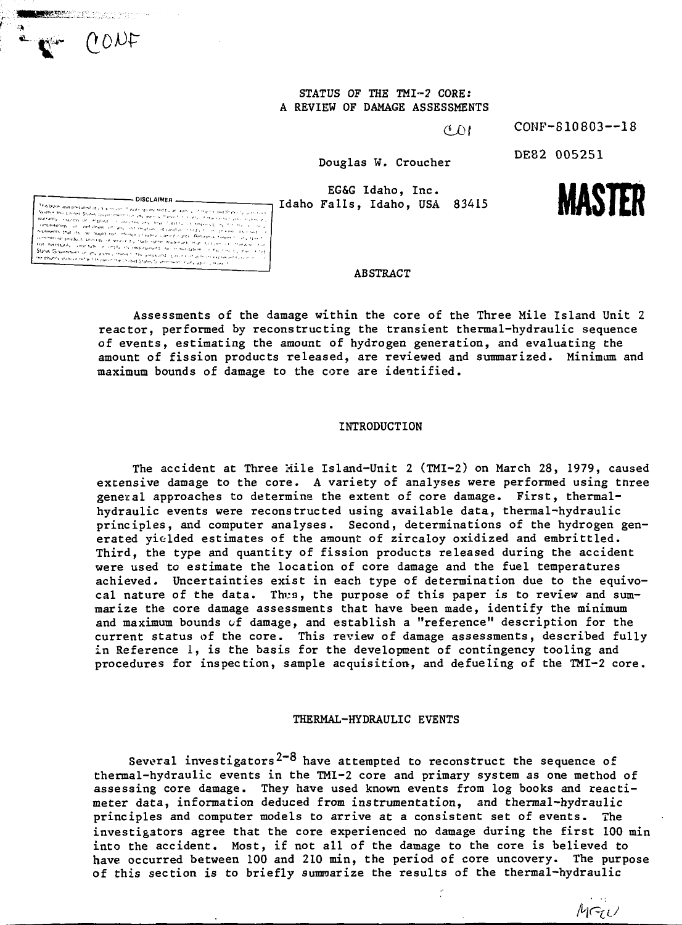

CONF-S10803--18

DE82 005251

**MASTER**

MGU

Douglas W. Croucher

 $\sigma$  D<sub>t</sub>

EG&G Idaho, Inc. Idaho Falls, Idaho, USA 83415



**Representations** 

NONE

# **ABSTRACT**

Assessments of the damage within the core of the Three Mile Island Unit 2 reactor, performed by reconstructing the transient thermal-hydraulic sequence of events, estimating the amount of hydrogen generation, and evaluating the amount of fission products released, are reviewed and summarized. Minimum and maximum bounds of damage to the core are identified.

### INTRODUCTION

The accident at Three Mile Island-Unit 2 (TMI-2) on March 28, 1979, caused extensive damage to the core. A variety of analyses were performed using tnree general approaches to determine the extent of core damage. First, thermalhydraulic events were reconstructed using available data, thermal-hydraulic principles, and computer analyses. Second, determinations of the hydrogen generated yielded estimates of the amount of zircaloy oxidized and embrittled. Third, the type and quantity of fission products released during the accident were used to estimate the location of core damage and the fuel temperatures achieved. Uncertainties exist in each type of determination due to the equivocal nature of the data. Thus, the purpose of this paper is to review and summarize the core damage assessments that have been made, identify the minimum and maximum bounds cf damage, and establish a "reference" description for the current status of the core. This review of damage assessments, described fully in Reference 1, is the basis for the development of contingency tooling and procedures for inspection, sample acquisition, and defueling of the TMI-2 core.

#### THERMAL-HYDRAULIC EVENTS

Several investigators<sup>2-8</sup> have attempted to reconstruct the sequence of thermal-hydraulic events in the TMI-2 core and primary system as one method of assessing core damage. They have used known events from log books and reactimeter data, information deduced from instrumentation, and thermal-hydraulic principles and computer models to arrive at a consistent set of events. The investigators agree that the core experienced no damage during the first 100 min into the accident. Most, if not all of the damage to the core is believed to have occurred between 100 and 210 min, the period of core uncovery. The purpose of this section is to briefly summarize the results of the thermal-hydraulic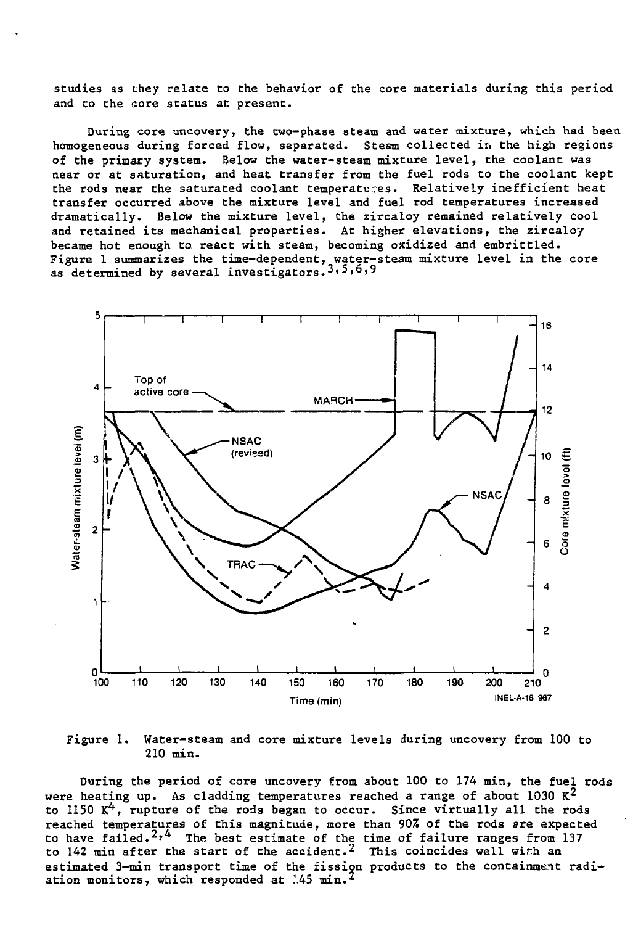studies as they relate to the behavior of the core materials during this period and to the core status at present.

During core uncovery, the two-phase steam and water mixture, which had been homogeneous during forced flow, separated. Steam collected in the high regions of the primary system. Below the water-steam mixture level, the coolant was near or at saturation, and heat transfer from the fuel rods to the coolant kept the rods near the saturated coolant temperatures. Relatively inefficient heat transfer occurred above the mixture level and fuel rod temperatures increased dramatically. Below the mixture level, the zircaloy remained relatively cool and retained its mechanical properties. At higher elevations, the zircaloy became hot enough to react with steam, becoming oxidized and embrittled. Figure 1 summarizes the time-dependent, water-steam mixture level in the core as determined by several investigators.<sup>3,5,6,9</sup>



Figure 1. Water-steam and core mixture levels during uncovery from 100 to 210 min.

During the period of core uncovery from about 100 to 174 min, the fuel rods were heating up. As cladding temperatures reached a range of about 1030  $K^2$ to 1150  $K^4$ , rupture of the rods began to occur. Since virtually all the rods reached temperatures of this magnitude, more than 907. of the rods are expected to have failed.<sup>2,4</sup> The best estimate of the time of failure ranges from 137 to 142 min after the start of the accident.<sup>2</sup> This coincides well with an estimated 3-min transport time of the fission products to the containment radiation monitors, which responded at  $145$  min.<sup>2</sup>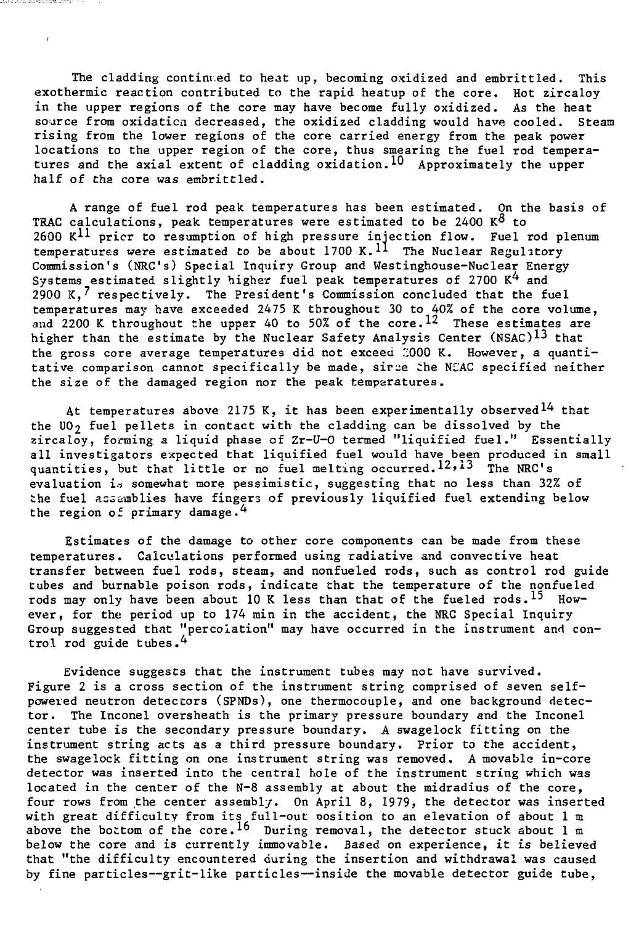The cladding continued to heat up, becoming oxidized and embrittled. This exothermic reaction contributed to the rapid heatup of the core. Hot zircaloy in the upper regions of the core may have become fully oxidized. As the heat source from oxidation decreased, the oxidized cladding would have cooled. Steam rising from the lower regions of the core carried energy from the peak power locations to the upper region of the core, thus smearing the fuel rod temperatures and the axial extent of cladding oxidation.<sup>10</sup> Approximately the upper half of the core was embrittled.

ha zuna kakan adalah Maritim (19

A range of fuel rod peak temperatures has been estimated. On the basis of TRAC calculations, peak temperatures were estimated to be 2400  $K^8$  to 2600 K<sup>11</sup> pricr to resumption of high pressure injection flow. Fuel rod plenum temperatures were estimated to be about 1700 K.<sup>11</sup> The Nuclear Regulatory Commission's (NRC's) Special Inquiry Group and Westinghouse-Nuclear Energy Systems estimated slightly higher fuel peak temperatures of 2700  $K^4$  and 2900 K,<sup>7</sup> respectively. The President's Commission concluded that the fuel temperatures may have exceeded 2475 K throughout 30 to 40% of the core volume, and 2200 K throughout the upper 40 to 50% of the  $\text{core.}^{12}$  These estimates are higher than the estimate by the Nuclear Safety Analysis Center (NSAC)<sup>13</sup> that the gross core average temperatures did not exceed  $\frac{1}{2}000$  K. However, a quantitative comparison cannot specifically be made, sirce the NCAC specified neither the size of the damaged region nor the peak temparatures.

At temperatures above 2175 K, it has been experimentally observed<sup>14</sup> that the UO<sub>2</sub> fuel pellets in contact with the cladding can be dissolved by the zircaloy, forming a liquid phase of Zr-U-0 termed "liquified fuel." Essentially all investigators expected that liquified fuel would have been produced in small quantities, but that little or no fuel melting occurred.<sup>12,13</sup> The NRC's evaluation is somewhat more pessimistic, suggesting that no less than 32% of the fuel assemblies have fingers of previously liquified fuel extending below the region of primary damage.<sup>4</sup>

Estimates of the damage to other core components can be made from these temperatures. Calculations performed using radiative and convective heat transfer between fuel rods, steam, and nonfueled rods, such as control rod guide tubes and burnable poison rods, indicate that the temperature of the nonfueled rods may only have been about 10 K less than that of the fueled rods.<sup>15</sup> However, for the period up to 174 min in the accident, the NRC Special Inquiry Group suggested that "percolation" may have occurred in the instrument and control rod guide tubes.<sup>4</sup>

Evidence suggests that the instrument tubes may not have survived. Figure 2 is a cross section of the instrument string comprised of seven selfpowered neutron detectors (SPNDs), one thermocouple, and one background detector. The Inconel oversheath is the primary pressure boundary and the Inconel center tube is the secondary pressure boundary. A swagelock fitting on the instrument string acts as a third pressure boundary. Prior to the accident, the swagelock fitting on one instrument string was removed. A movable in-core detector was inserted into the central hole of the instrument string which was located in the center of the N-8 assembly at about the midradius of the core, four rows from the center assembly. On April 8, 1979, the detector was inserted with great difficulty from its full-out position to an elevation of about 1 m above the bottom of the core.<sup>16</sup> During removal, the detector stuck about 1 m below the core and is currently immovable. Based on experience, it is believed that "the difficulty encountered during the insertion and withdrawal was caused by fine particles—grit-like particles—inside the movable detector guide tube,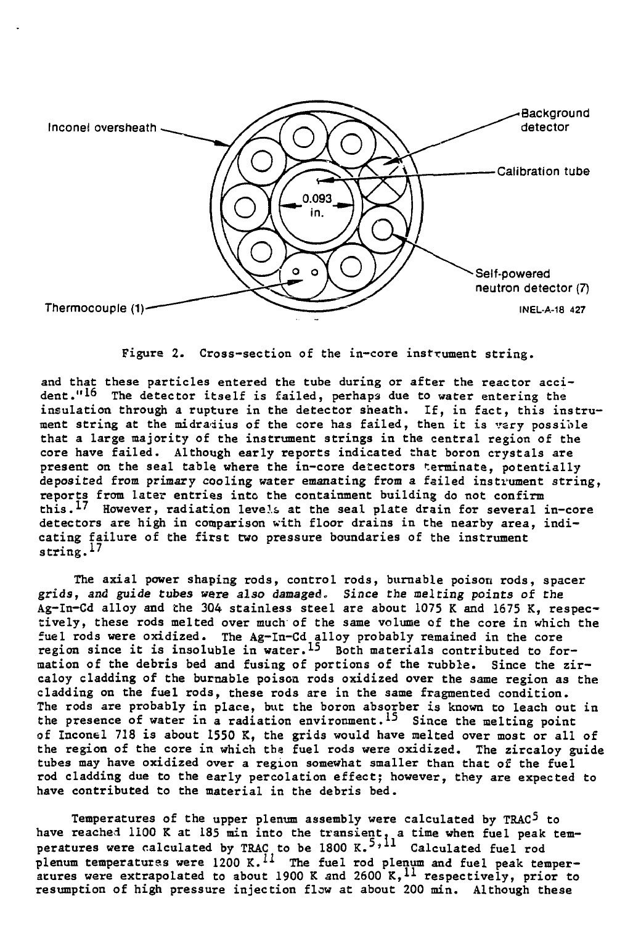

**Figure 2. Cross-section of the in-core instrument string.**

**and that these particles entered the tube during or after the reactor acci**dent."<sup>16</sup> The detector itself is failed, perhaps due to water entering the **insulation through a rupture in the detector sheath. If, in fact, this instrument string at the midraiius of the core has failed, then it is %'sry possible that a large majority of the instrument strings in the central region of the core have failed. Although early reports indicated that boron crystals are present on the seal table where the in-core detectors terminate, potentially deposited from primary cooling water emanating from a failed instrument string, reports from later entries into the containment building do not confirm this.17 However, radiation leve!& at the seal plate drain for several in-core detectors are high in comparison with floor drains in the nearby area, indicating failure of the first two pressure boundaries of the instrument string.I?**

**The axial power shaping rods, control rods, burnable poison rods, spacer grids, and guide tubes were also damaged. Since the melting points of the Ag-In-Cd alloy and the 304 stainless steel are about 1075 K and 1675 K, respectively, these rods melted over much' of the same volume of the core in which the fuel rods were oxidized. The Ag-In-Cd alloy probably remained in the core region since it is insoluble in water.^ Both materials contributed to formation of the debris bed and fusing of portions of the rubble. Since the zircaloy cladding of the burnable poison rods oxidized over the same region as the cladding on the fuel rods, these rods are in the same fragmented condition. The rods are probably in place, but the boron absorber is known to leach out in** the presence of water in a radiation environment.<sup>15</sup> Since the melting point **of Inconei 718 is about 1550 K, the grids would have melted over most or all of the region of the core in which the fuel rods were oxidized. The zircaloy guide tubes may have oxidized over a region somewhat smaller than that of the fuel rod cladding due to the early percolation effect; however, they are expected to have contributed to the material in the debris bed.**

**Temperatures of the upper plenum assembly were calculated by TRAC^ to have reached liOO K at 185 min into the transient, a time when fuel peak temperatures were calculated by TRAC to be 1800 K.5»11 Calculated fuel rod** plenum temperatures were 1200 K.<sup>11</sup> The fuel rod plenum and fuel peak temper**atures were extrapolated to about 1900 K and 2600 K,<sup>1</sup>\* respectively, prior to resumption of high pressure injection flow at about 200 min. Although these**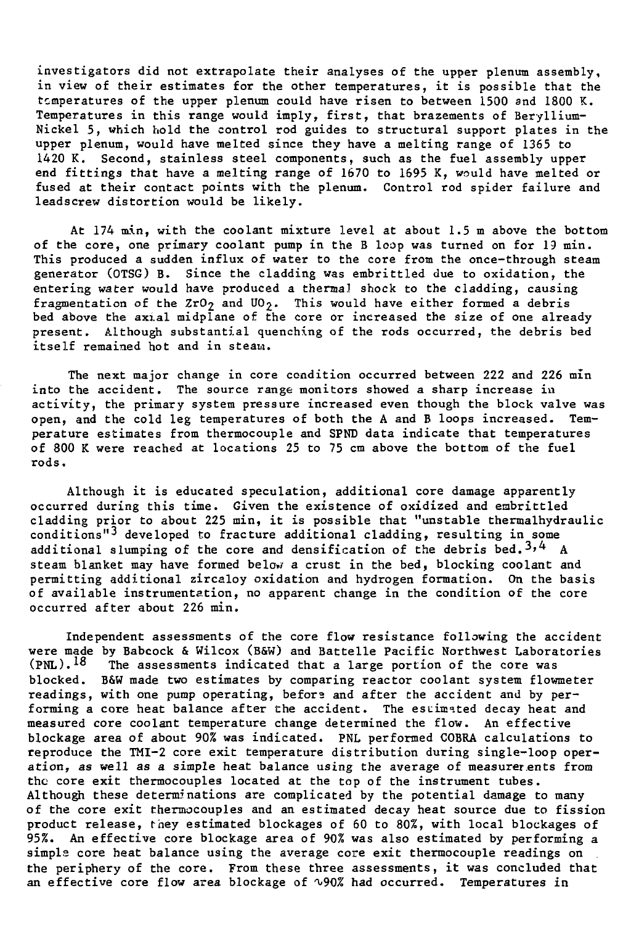investigators did not extrapolate their analyses of the upper plenum assembly, in view of their estimates for the other temperatures, it is possible that the temperatures of the upper plenum could have risen to between 1500 and 1800 K. Temperatures in this range would imply, first, that brazements of Beryllium-Nickel 5, which hold the control rod guides to structural support plates in the upper plenum, would have melted since they have a melting range of 1365 to 1420 K. Second, stainless steel components, such as the fuel assembly upper end fittings that have a melting range of 1670 to 1695 K, would have melted or fused at their contact points with the plenum. Control rod spider failure and leadscrew distortion would be likely.

At 174 min, with the coolant mixture level at about 1.5 m above the bottom of the core, one primary coolant pump in the B loop was turned on for 19 min. This produced a sudden influx of water to the core from the once-through steam generator (OTSG) B. Since the cladding was embrittled due to oxidation, the entering water would have produced a thermal shock to the cladding, causing fragmentation of the ZrO<sub>2</sub> and UO<sub>2</sub>. This would have either formed a debris bed above the axial midplane of the core or increased the size of one already present. Although substantial quenching of the rods occurred, the debris bed itself remained hot and in steam.

The next major change in core condition occurred between 222 and 226 min into the accident. The source range monitors showed a sharp increase in activity, the primary system pressure increased even though the block valve was open, and the cold leg temperatures of both the A and B loops increased. Temperature estimates from thermocouple and SPND data indicate that temperatures of 800 K were reached at locations 25 to 75 cm above the bottom of the fuel rods.

Although it is educated speculation, additional core damage apparently occurred during this time. Given the existence of oxidized and embrittled cladding prior to about 225 min, it is possible that "unstable thermalhydraulic conditions"<sup>3</sup> developed to fracture additional cladding, resulting in some additional slumping of the core and densification of the debris bed.<sup>3,4</sup> A steam blanket may have formed below a crust in the bed, blocking coolant and permitting additional zircaloy oxidation and hydrogen formation. On the basis of available instrumentation, no apparent change in the condition of the core occurred after about 226 min.

Independent assessments of the core flow resistance following the accident were made by Babcock & Wilcox (B&W) and Battelle Pacific Northwest Laboratories (PNL).<sup>18</sup> The assessments indicated that a large portion of the core was The assessments indicated that a large portion of the core was blocked. B&W made two estimates by comparing reactor coolant system flowmeter readings, with one pump operating, befors and after the accident and by performing a core heat balance after the accident. The estimated decay heat and measured core coolant temperature change determined the flow. An effective blockage area of about 90% was indicated. PNL performed COBRA calculations to reproduce the TMI-2 core exit temperature distribution during single-loop operation, as well as a simple heat balance using the average of measurerents from the core exit thermocouples located at the top of the instrument tubes. Although these determinations are complicated by the potential damage to many of the core exit thermocouples and an estimated decay heat source due to fission product release, they estimated blockages of 60 to 80%, with local blockages of 95%. An effective core blockage area of 90% was also estimated by performing a simple core heat balance using the average core exit thermocouple readings on the periphery of the core. From these three assessments, it was concluded that an effective core flow area blockage of  $\sqrt{90\%}$  had occurred. Temperatures in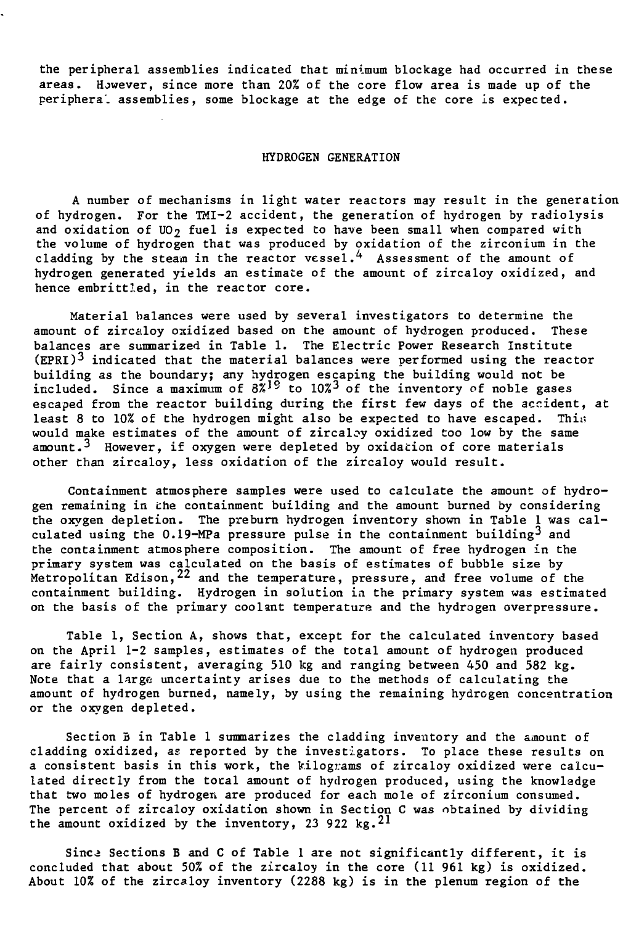the peripheral assemblies indicated that minimum blockage had occurred in these areas. However, since more than 20% of the core flow area is made up of the periphera' assemblies, some blockage at the edge of the core is expected.

#### HYDROGEN GENERATION

A number of mechanisms in light water reactors may result in the generation of hydrogen. For the TMI-2 accident, the generation of hydrogen by radiolysis and oxidation of UO<sub>2</sub> fuel is expected to have been small when compared with the volume of hydrogen that was produced by oxidation of the zirconium in the cladding by the steam in the reactor vessel.^ Assessment of the amount of hydrogen generated yields an estimate of the amount of zircaloy oxidized, and hence embrittled, in the reactor core.

Material balances were used by several investigators to determine the amount of zircaloy oxidized based on the amount of hydrogen produced. These balances are summarized in Table 1. The Electric Power Research Institute (EPRI)<sup>3</sup> indicated that the material balances were performed using the reactor building as the boundary; any hydrogen escaping the building would not be included. Since a maximum of  $8\overset{?}{\cancel{}}1^9$  to  $10\overset{?}{\cancel{}}3$  of the inventory of noble gases escaped from the reactor building during the first few days of the accident, at least 8 to  $10\%$  of the hydrogen might also be expected to have escaped. This would make estimates of the amount of zircaloy oxidized too low by the same amount.<sup>3</sup> However, if oxygen were depleted by oxidation of core materials other than zircaloy, less oxidation of the zircaloy would result.

Containment atmosphere samples were used to calculate the amount of hydrogen remaining in the containment building and the amount burned by considering the oxygen depletion. The preburn hydrogen inventory shown in Table 1 was calculated using the  $0.19-MPa$  pressure pulse in the containment building<sup>3</sup> and the containment atmosphere composition. The amount of free hydrogen in the primary system was calculated on the basis of estimates of bubble size by Metropolitan Edison, $^{22}$  and the temperature, pressure, and free volume of the containment building. Hydrogen in solution in the primary system was estimated on the basis of the primary coolant temperature and the hydrogen overpressure.

Table 1, Section A, shows that, except for the calculated inventory based on the April 1-2 samples, estimates of the total amount of hydrogen produced are fairly consistent, averaging 510 kg and ranging between 450 and 582 kg. Note that a large uncertainty arises due to the methods of calculating the amount of hydrogen burned, namely, by using the remaining hydrogen concentration or the oxygen depleted.

Section B in Table 1 summarizes the cladding inventory and the amount of cladding oxidized, as reported by the investigators. To place these results on a consistent basis in this work, the kilograms of zircaloy oxidized were calculated directly from the tocal amount of hydrogen produced, using the knowledge that two moles of hydrogen are produced for each mole of zirconium consumed. The percent of zircaloy oxidation shown in Section C was obtained by dividing the amount oxidized by the inventory, 23 922 kg.<sup>21</sup>

Since Sections B and C of Table 1 are not significantly different, it is concluded that about 50% of the zircaloy in the core (11 961 kg) is oxidized. About 10% of the zircaloy inventory (2288 kg) is in the plenum region of the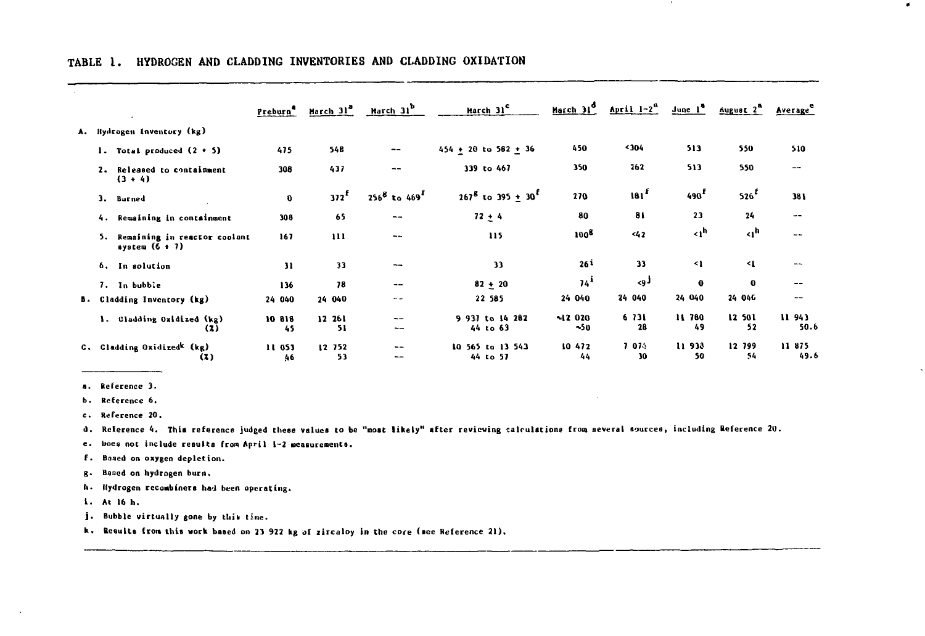|    |                                                        | Preburn <sup>4</sup> | March 31ª        | March 31 <sup>b</sup> | March 31 <sup>c</sup>            | March 31 <sup>d</sup> | April $1-2^a$    | $\frac{1}{2}$ une $1^{\circ}$ | August 2 <sup>8</sup> | Average <sup>e</sup> |
|----|--------------------------------------------------------|----------------------|------------------|-----------------------|----------------------------------|-----------------------|------------------|-------------------------------|-----------------------|----------------------|
| Λ. | Hydrogen Inventory (kg)                                |                      |                  |                       |                                  |                       |                  |                               |                       |                      |
|    | 1. Total produced $(2 + 5)$                            | 475                  | 54B              | --                    | $454 + 20$ to $582 + 36$         | 450                   | <b>404&gt;</b>   | 513                           | 550                   | 510                  |
|    | 2. Released to containment<br>$(3 + 4)$                | 308                  | 437              | $- -$                 | 339 to 467                       | 350                   | 262              | 513                           | 550                   | --                   |
|    | 3.<br>Burned                                           | $\mathbf 0$          | 372 <sup>f</sup> | $256^8$ to $469^1$    | $267^8$ to 395 + 30 <sup>r</sup> | 270                   | 181 <sup>f</sup> | 490 <sup>f</sup>              | $526$ <sup>£</sup>    | 381                  |
|    | Remaining in containment<br>4.                         | 308                  | 65               | $-1$                  | $72 + 4$                         | 80                    | 81               | 23                            | 24                    | $- -$                |
|    | Remaining in reactor coolant<br>5.<br>system $(6 + 7)$ | 167                  | $\mathbf{1}$     | $- -$                 | 115                              | 100 <sup>8</sup>      | 42               | $\triangleleft$               | ⊲,h                   | $\sim$ $\sim$        |
|    | 6. In solution                                         | 31                   | 33               | --                    | 33                               | 26 i                  | 33               | -1                            | 41                    | $- -$                |
|    | 7. In bubble                                           | 136                  | 78               | $- -$                 | $82 + 20$                        | 74 <sup>1</sup>       | لوح              | $\mathbf o$                   | $\mathbf{o}$          | $- -$                |
|    | B. Cladding Inventory (kg)                             | 24 040               | 24 040           | - -                   | 22 585                           | 24 040                | 24 040           | 24 040                        | 24 046                |                      |
|    | 1. Cladding Oxidized (kg)                              | 10 818<br>(x)<br>45  | 12 261<br>51     | $\frac{1}{2}$<br>--   | 9 937 to 14 282<br>44 to 63      | $-1200$<br>$\sim$ 50  | 6 731<br>28      | 11 780<br>49                  | 12 501<br>52          | 11 943<br>50.6       |
| c. | Cladding Oxidized <sup>k</sup> (kg)                    | 11 053<br>(3)<br>46  | 12 752<br>53     | $\sim$<br>--          | 10 565 to 13 543<br>44 to 57     | 10 472<br>44          | 7 074<br>30      | 11 933<br>50                  | 12 799<br>54          | 11 875<br>49.6       |

 $\blacksquare$ 

 $\mathcal{C}$ 

## **TABLE I. HYDROGEN AND CLADDING INVENTORIES AND CLADDING OXIDATION**

**Reference 3.**

**Reference 6.**

**Reference 20.**

**d. Reference 4. This reference judged these values to be "moat likely" after reviewing calculations front several sourceSi including Reference 20.**

**e. iioes not include results from April 1-2 Measurements.**

**f. Based on oxygen depletion.**

**g-Baaed on hydrogen bum .**

h. Hydrogen recombiners had been operating.

**1. At 16 h.**

 $\ddot{\phantom{a}}$ 

**j. Bubble virtually gone by tliia tine.**

**k. Results from this work based on 23 922 kg of zircaloy in the core (see Reference 21).**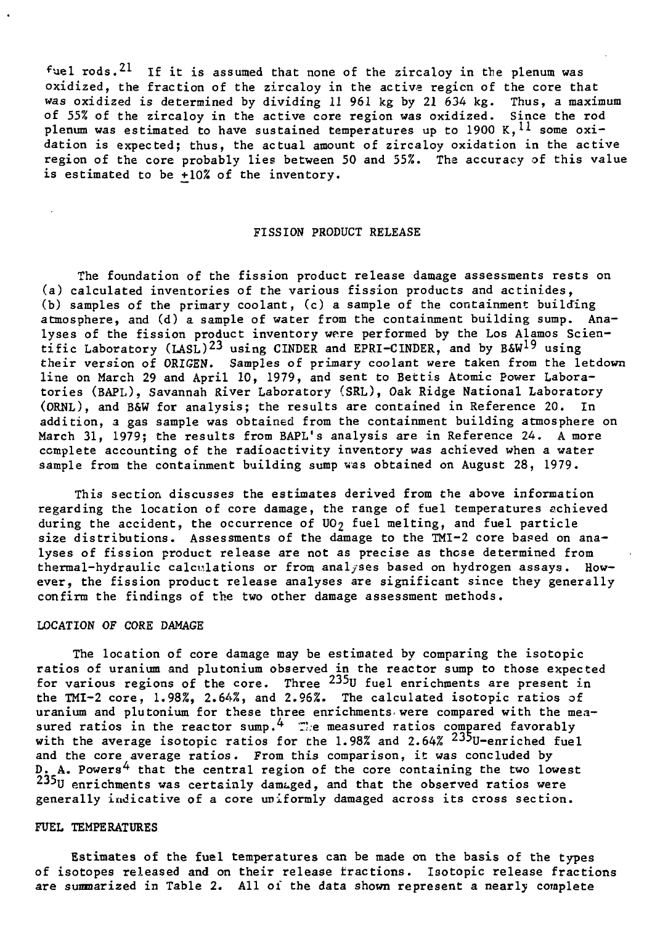fuel rods.<sup>21</sup> If it is assumed that none of the zircaloy in the plenum was oxidized, the fraction of the zircaloy in the active region of the core that was oxidized is determined by dividing 11 961 kg by 21 634 kg. Thus, a maximum of 55% of the zircaloy in the active core region was oxidized. Since the rod plenum was estimated to have sustained temperatures up to  $1900 \text{ K}$ ,  $^{11}$  some oxidation is expected; thus, the actual amount of zircaloy oxidation in the active region of the core probably lies between 50 and 55%. The accuracy of this value is estimated to be +10% of the inventory.

## FISSION PRODUCT RELEASE

The foundation of the fission product release damage assessments rests on (a) calculated inventories of the various fission products and actinides, (b) samples of the primary coolant, (c) a sample of the containment building atmosphere, and (d) a sample of water from the containment building sump. Analyses of the fission product inventory were performed by the Los Alamos Scientific Laboratory (LASL)<sup>23</sup> using CINDER and EPRI-CINDER, and by B&W<sup>19</sup> using their version of ORIGEN. Samples of primary coolant were taken from the letdown line on March 29 and April 10, 1979, and sent to Bettis Atomic Power Laboratories (BAPL), Savannah River Laboratory (SRL), Oak Ridge National Laboratory (ORNL), and B&W for analysis; the results are contained in Reference 20. In addition, a gas sample was obtained from the containment building atmosphere on March 31, 1979; the results from BAPL's analysis are in Reference 24. A more complete accounting of the radioactivity inventory was achieved when a water sample from the containment building sump was obtained on August 28, 1979.

This section discusses the estimates derived from the above information regarding the location of core damage, the range of fuel temperatures achieved during the accident, the occurrence of  $UO<sub>2</sub>$  fuel melting, and fuel particle size distributions. Assessments of the damage to the TMI-2 core based on analyses of fission product release are not as precise as those determined from thermal-hydraulic calculations or from analyses based on hydrogen assays. However, the fission product release analyses are significant since they generally confirm the findings of the two other damage assessment methods.

## LOCATION OF CORE DAMAGE

The location of core damage may be estimated by comparing the isotopic ratios of uranium and plutonium observed in the reactor sump to those expected for various regions of the core. Three <sup>233</sup>U fuel enrichments are present in the TMI-2 core, 1.98%, 2.64%, and 2.96%. The calculated isotopic ratios of uranium and plutonium for these three enrichments, were compared with the measured ratios in the reactor sump.<sup>4</sup> The measured ratios compared favorably with the average isotopic ratios for the 1.98% and 2.64% <sup>235</sup>U-enriched fuel and the core average ratios. From this comparison, it was concluded by  $D_{z}$  A. Powers<sup>4</sup> that the central region of the core containing the two lowest <sup>235</sup>U enrichments was certainly damaged, and that the observed ratios were generally indicative of a core uniformly damaged across its cross section.

## FUEL TEMPERATURES

Estimates of the fuel temperatures can be made on the basis of the types of isotopes released and on their release fractions. Isotopic release fractions are summarized in Table 2. All of the data shown represent a nearly complete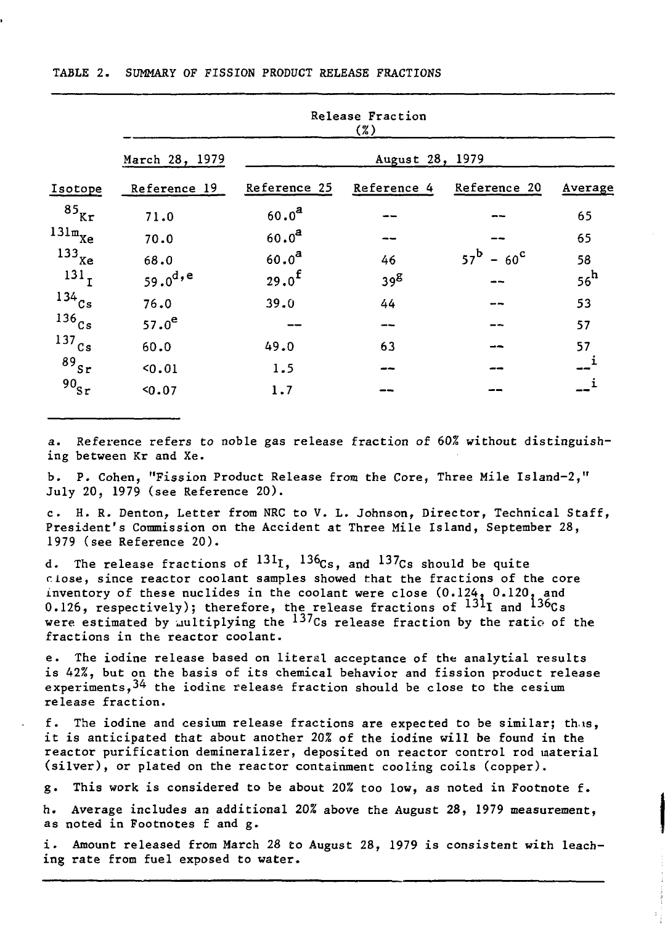|  |  |  | TABLE 2. SUMMARY OF FISSION PRODUCT RELEASE FRACTIONS |
|--|--|--|-------------------------------------------------------|
|  |  |  |                                                       |

|                      | Release Fraction<br>(7) |                   |                    |                                |                 |  |  |  |  |
|----------------------|-------------------------|-------------------|--------------------|--------------------------------|-----------------|--|--|--|--|
|                      | March 28, 1979          | August 28, 1979   |                    |                                |                 |  |  |  |  |
| Isotope              | Reference 19            | Reference 25      | <b>Reference 4</b> | <b>Reference 20</b>            | Average         |  |  |  |  |
| $85\$ <sub>Kr</sub>  | 71.0                    | $60.0^{a}$        |                    |                                | 65              |  |  |  |  |
| $131m$ <sub>Xe</sub> | 70.0                    | 60.0 <sup>2</sup> |                    |                                | 65              |  |  |  |  |
| $133$ <sub>Xe</sub>  | 68.0                    | 60.0 <sup>a</sup> | 46                 | $57^{\rm b}$ – 60 <sup>c</sup> | 58              |  |  |  |  |
| 131 <sub>T</sub>     | 59.0 <sup>d, e</sup>    | $29.0^{f}$        | $39^{\text{g}}$    |                                | 56 <sup>h</sup> |  |  |  |  |
| $134$ <sub>Cs</sub>  | 76.0                    | 39.0              | 44                 |                                | 53              |  |  |  |  |
| $^{136}$ Cs          | $57.0^e$                |                   | --                 |                                | 57              |  |  |  |  |
| $^{137}$ Cs          | 60.0                    | 49.0              | 63                 |                                | 57              |  |  |  |  |
| $89_{Sr}$            | 50.01                   | 1.5               |                    |                                |                 |  |  |  |  |
| 90 <sub>5r</sub>     | 50.07                   | 1.7               |                    |                                |                 |  |  |  |  |

a. Reference refers to noble gas release fraction of 60% without distinguishing between Kr and Xe.

b. P. Cohen, "Fission Product Release from the Core, Three Mile Island-2," July 20, 1979 (see Reference 20).

c. H. R. Denton, Letter from NRC to V. L. Johnson, Director, Technical Staff, President's Commission on the Accident at Three Mile Island, September 28, 1979 (see Reference 20).

d. The release fractions of  $^{131}I$ ,  $^{136}Cs$ , and  $^{137}Cs$  should be quite close, since reactor coolant samples showed that the fractions of the core inventory of these nuclides in the coolant were close (0.124, 0.120. and 0.126, respectively); therefore, the release fractions of  $^{131}$ I and  $^{136}$ Cs were estimated by multiplying the  $137_{Cs}$  release fraction by the ratio of the fractions in the reactor coolant.

e. The iodine release based on literal acceptance of the analytial results is 42%, but on the basis of its chemical behavior and fission product release experiments,  $34$  the iodine release fraction should be close to the cesium release fraction.

f. The iodine and cesium release fractions are expected to be similar; th.xs, it is anticipated that about another 20% of the iodine will be found in the reactor purification demineralizer, deposited on reactor control rod material (silver), or plated on the reactor containment cooling coils (copper).

g. This work is considered to be about 20% too low, as noted in Footnote f.

h. Average includes an additional 20% above the August 28, 1979 measurement, as noted in Footnotes f and g.

i. Amount released from March 28 to August 28, 1979 is consistent with leaching rate from fuel exposed to water.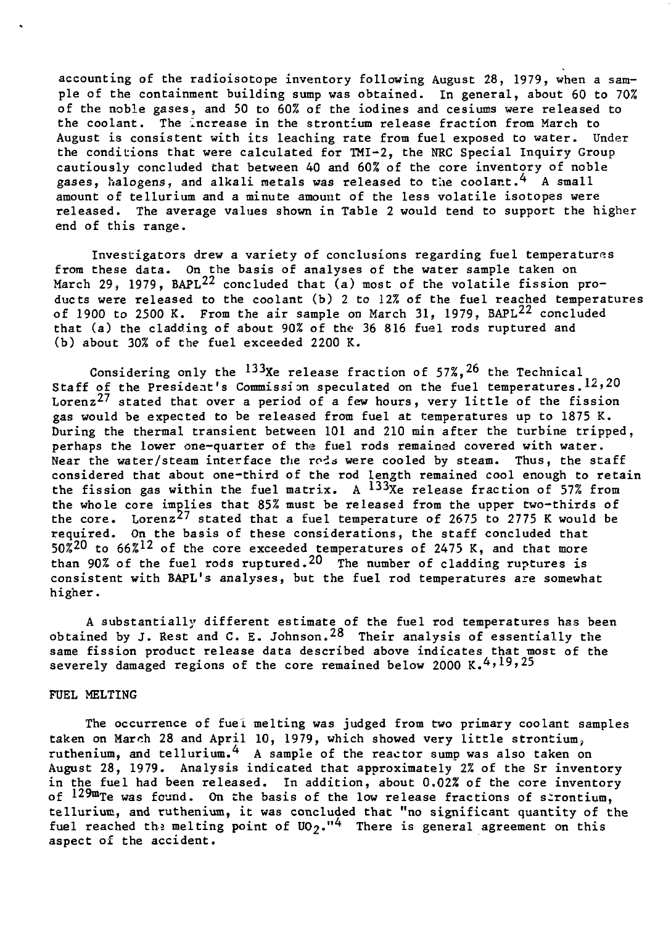accounting of the radioisotope inventory following August 28, 1979, when a sample of the containment building sump was obtained. In general, about 60 to 70% of the noble gases, and 50 to 60% of the iodines and cesiums were released to the coolant. The increase in the strontium release fraction from March to August is consistent with its leaching rate from fuel exposed to water. Under the conditions that were calculated for TMI-2, the NRC Special Inquiry Group cautiously concluded that between 40 and 60% of the core inventory of noble gases, halogens, and alkali metals was released to the coolant.<sup>4</sup> A small amount of tellurium and a minute amount of the less volatile isotopes were released. The average values shown in Table 2 would tend to support the higher end of this range.

Investigators drew a variety of conclusions regarding fuel temperatures from these data. On the basis of analyses of the water sample taken on March 29, 1979, BAPL<sup>22</sup> concluded that (a) most of the volatile fission products were released to the coolant (b) 2 to 12% of the fuel reached temperatures of 1900 to 2500 K. From the air sample on March 31, 1979, BAPL<sup>22</sup> concluded that (a) the cladding of about 90% of the 36 816 fuel rods ruptured and (b) about 30% of the fuel exceeded 2200 K.

Considering only the  $^{133}$ Xe release fraction of  $57\%$ ,  $^{26}$  the Technical Staff of the President's Commission speculated on the fuel temperatures. $12,20$ Lorenz<sup>2</sup>? stated that over a period of a few hours, very little of the fission gas would be expected to be released from fuel at temperatures up to 1875 K. During the thermal transient between 101 and 210 min after the turbine tripped, perhaps the lower one-quarter of the fuel rods remained covered with water. Near the water/steam interface the rods were cooled by steam. Thus, the staff considered that about one-third of the rod length remained cool enough to retain the fission gas within the fuel matrix. A <sup>133</sup>Xe release fraction of 57% from the whole core implies that 85% must be released from the upper two-thirds of the core. Lorenz<sup>27</sup> stated that a fuel temperature of 2675 to 2775 K would be required. On the basis of these considerations, the staff concluded that  $50\overset{20}{\phantom{1}5}$  to  $66\overset{21}{\phantom{1}5}$  of the core exceeded temperatures of 2475 K, and that more than 90% of the fuel rods ruptured.<sup>20</sup> The number of cladding ruptures is consistent with BAPL's analyses, but the fuel rod temperatures are somewhat higher.

A substantially different estimate of the fuel rod temperatures has been obtained by J. Rest and C. E. Johnson. $^{28}$  Their analysis of essentially the same fission product release data described above indicates that most of the severely damaged regions of the core remained below 2000 K.<sup>4,19,25</sup>

#### FUEL MELTING

The occurrence of fuel melting was judged from two primary coolant samples taken on March 28 and April 10, 1979, which showed very little strontium, ruthenium, and tellurium.<sup>4</sup> A sample of the reactor sump was also taken on August 28, 1979. Analysis indicated that approximately 2% of the Sr inventory in the fuel had been released. In addition, about 0.02% of the core inventory of  $129m$ Te was found. On the basis of the low release fractions of strontium, tellurium, and ruthenium, it was concluded that "no significant quantity of the fuel reached the melting point of  $U_2$ ."<sup>4</sup> There is general agreement on this aspect of the accident.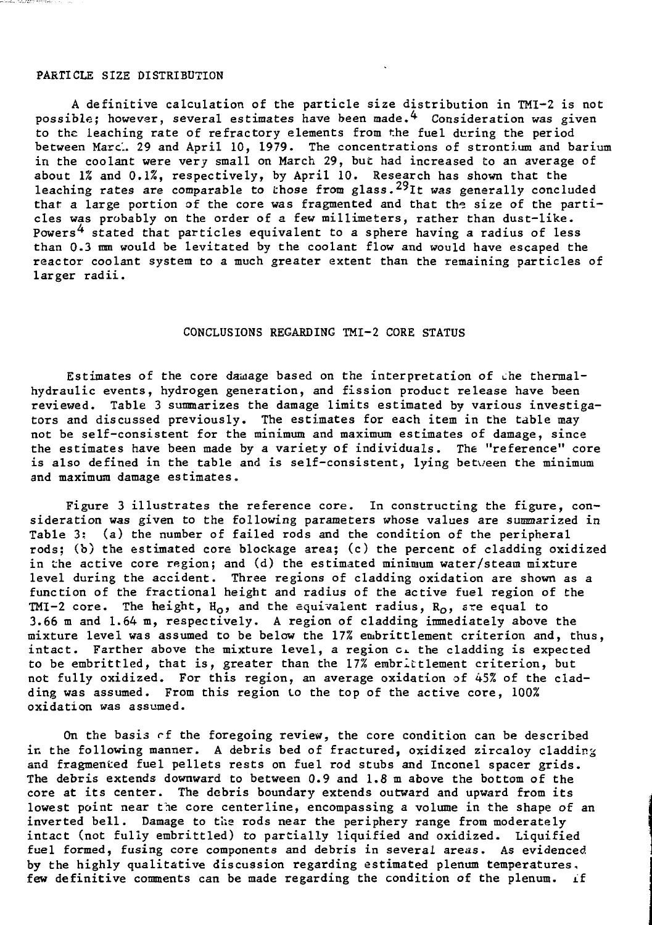# PARTICLE SIZE DISTRIBUTION

A definitive calculation of the particle size distribution in TMI-2 is not possible; however, several estimates have been made. $\frac{4}{7}$  Consideration was given to the leaching rate of refractory elements from the fuel during the period between Marc. 29 and April 10, 1979. The concentrations of strontium and barium in the coolant were very small on March 29, but had increased to an average of about 1% and 0.1%, respectively, by April 10. Research has shown that the leaching rates are comparable to those from glass. <sup>29</sup>It was generally concluded that a large portion of the core was fragmented and that the size of the particles was probably on the order of a few millimeters, rather than dust-like. Powers<sup>4</sup> stated that particles equivalent to a sphere having a radius of less than 0.3 mm would be levitated by the coolant flow and would have escaped the reactor coolant system to a much greater extent than the remaining particles of larger radii.

### CONCLUSIONS REGARDING TMI-2 CORE STATUS

Estimates of the core dauage based on the interpretation of che thermalhydraulic events, hydrogen generation, and fission product release have been reviewed. Table 3 summarizes the damage limits estimated by various investigators and discussed previously. The estimates for each item in the table may not be self-consistent for the minimum and maximum estimates of damage, since the estimates have been made by a variety of individuals. The "reference" core is also defined in the table and is self-consistent, lying between the minimum and maximum damage estimates.

Figure 3 illustrates the reference core. In constructing the figure, consideration was given to the following parameters whose values are summarized in Table 3; (a) the number of failed rods and the condition of the peripheral rods; (b) the estimated core blockage area; (c) the percent of cladding oxidized in the active core region; and (d) the estimated minimum water/steam mixture level during the accident. Three regions of cladding oxidation are shown as a function of the fractional height and radius of the active fuel region of the TMI-2 core. The height,  $H_0$ , and the equivalent radius,  $R_0$ , sre equal to 3.66 m and 1.64 m, respectively. A region of cladding immediately above the mixture level was assumed to be below the 17% embrittlement criterion and, thus, intact. Farther above the mixture level, a region ci the cladding is expected to be embrittled, that is, greater than the  $17\%$  embrittlement criterion, but not fully oxidized. For this region, an average oxidation of 45% of the cladding was assumed. From this region lo the top of the active core, 100% oxidation was assumed.

On the basis rf the foregoing review, the core condition can be described in the following manner. A debris bed of fractured, oxidized zircaloy cladding and fragmented fuel pellets rests on fuel rod stubs and Inconel spacer grids. The debris extends downward to between 0.9 and 1.8 m above the bottom of the core at its center. The debris boundary extends outward and upward from its lowest point near the core centerline, encompassing a volume in the shape of an inverted bell. Damage to the rods near the periphery range from moderately intact (not fully embrittled) to partially liquified and oxidized. Liquified fuel formed, fusing core components and debris in several areas. As evidenced by the highly qualitative discussion regarding estimated plenum temperatures, few definitive comments can be made regarding the condition of the plenum, if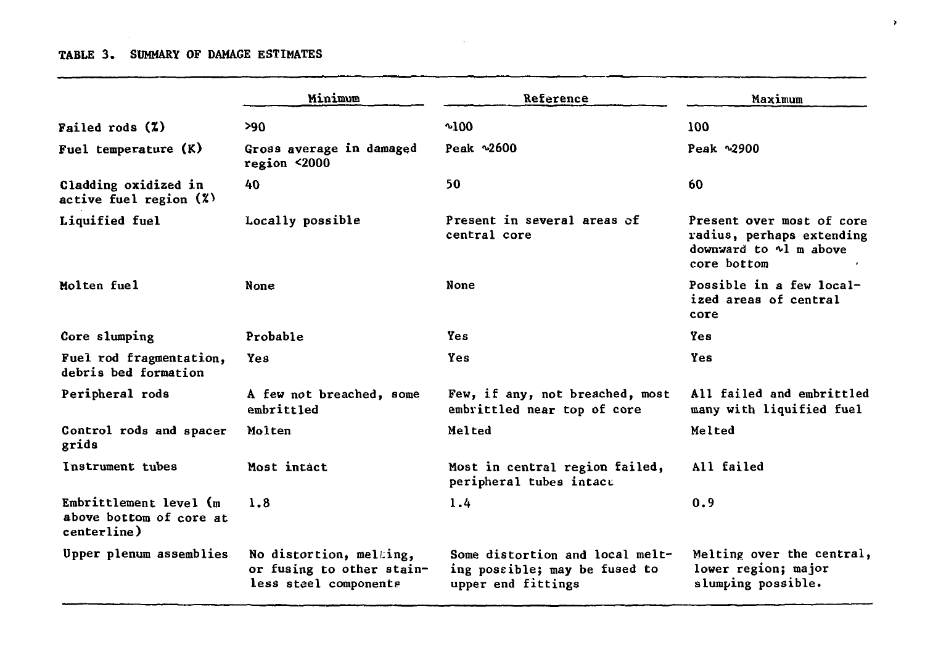# **TABLE 3. SUMMARY OF DAMAGE ESTIMATES**

|                                                                     | Minimum                                                                       | Reference                                                                              | Maximum                                                                                               |  |  |
|---------------------------------------------------------------------|-------------------------------------------------------------------------------|----------------------------------------------------------------------------------------|-------------------------------------------------------------------------------------------------------|--|--|
| Failed rods $(2)$                                                   | >90                                                                           | $^{\sim}100$                                                                           | 100                                                                                                   |  |  |
| Fuel temperature (K)                                                | Gross average in damaged<br>region <2000                                      | Peak ~2600                                                                             | Peak ~2900                                                                                            |  |  |
| Cladding oxidized in<br>active fuel region $(X)$                    | 40                                                                            | 50                                                                                     | 60                                                                                                    |  |  |
| Liquified fuel                                                      | Locally possible                                                              | Present in several areas of<br>central core                                            | Present over most of core<br>radius, perhaps extending<br>downward to $\sim$ l m above<br>core bottom |  |  |
| Molten fuel                                                         | None                                                                          | None                                                                                   | Possible in a few local-<br>ized areas of central<br>core                                             |  |  |
| Core slumping                                                       | Probable                                                                      | Yes.                                                                                   | Yes                                                                                                   |  |  |
| Fuel rod fragmentation,<br>debris bed formation                     | Yes                                                                           | Yes                                                                                    | Yes                                                                                                   |  |  |
| Peripheral rods                                                     | A few not breached, some<br>embrittled                                        | Few, if any, not breached, most<br>embrittled near top of core                         | All failed and embrittled<br>many with liquified fuel                                                 |  |  |
| Control rods and spacer<br>grids                                    | Molten                                                                        | Melted                                                                                 | Melted                                                                                                |  |  |
| Instrument tubes                                                    | Most intact                                                                   | Most in central region failed,<br>peripheral tubes intact                              | All failed                                                                                            |  |  |
| Embrittlement level $(m)$<br>above bottom of core at<br>centerline) | 1.8                                                                           | 1.4                                                                                    | 0.9                                                                                                   |  |  |
| Upper plenum assemblies                                             | No distortion, melting,<br>or fusing to other stain-<br>less steel components | Some distortion and local melt-<br>ing possible; may be fused to<br>upper end fittings | Melting over the central,<br>lower region; major<br>slumping possible.                                |  |  |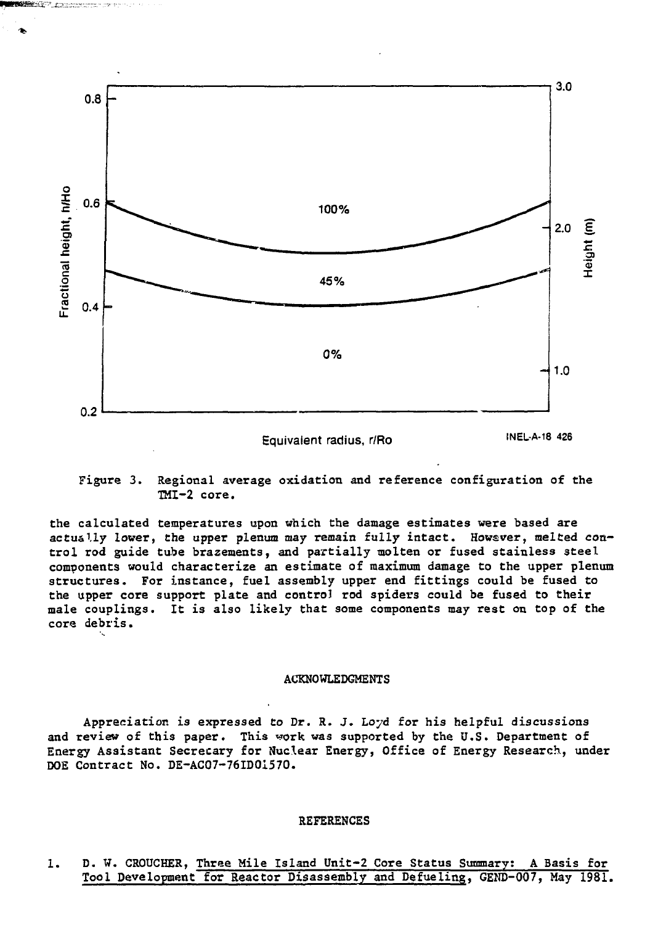

**Figure 3. Regional average oxidation and reference configuration of the TMI-2 core.**

**the calculated temperatures upon which the damage estimates were based are actually lower, the upper plenum may remain fully intact. Howsver, melted control rod guide tube brazements, and partially molten or fused stainless 3teel components would characterize an estimate of maximum damage to the upper plenum structures. For instance, fuel assembly upper end fittings could be fused to the upper core support plate and control rod spiders could be fused to their male couplings. It is also likely that some components may rest on top of the core debris.**

#### **ACKNOWLEDGMENTS**

Appreciation is expressed to Dr. R. J. Loyd for his helpful discussions and review of this paper. This work was supported by the U.S. Department of Energy Assistant Secretary for Nuclear Energy, Office of Energy Research, under DOE Contract No. DE-AC07-76ID01570.

## REFERENCES

**1. D. W. CROUCHER, Three Mile Island Unit-2 Core Status Summary; A Basis for Tool Development for Reactor Disassembly and Defueling, GEND-007, May 1981.**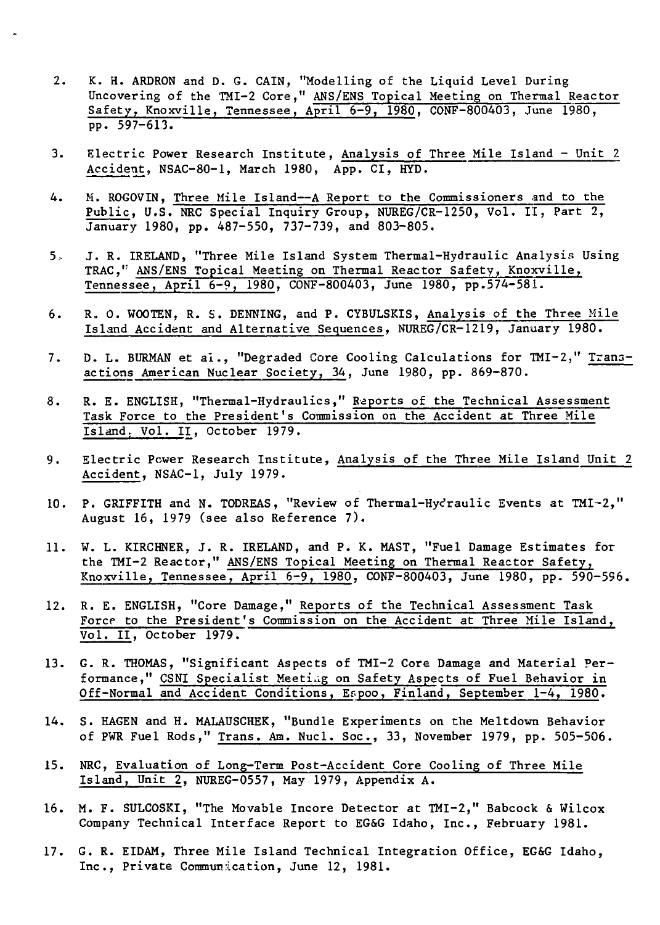- 2. K. H. ARDRON and D. G. CAIN, "Modelling of the Liquid Level During Uncovering of the TMI-2 Core," ANS/EHS Topical Meeting on Thermal Reactor Safety, Knoxville, Tennessee, April 6-9, 1980, CONF-800403, June 1980, pp. 597-613.
- 3. Electric Power Research Institute, Analysis of Three Mile Island Unit 2 Accident, NSAC-80-1, March 1980, App. CI, HYD.
- 4. M. ROGOVIN, Three Mile Island—A Report to the Commissioners and to the Public, U.S. NRC Special Inquiry Group, NUREG/CR-1250, Vol. II, Part 2, January 1980, pp. 487-550, 737-739, and 803-805.
- 5.- J. R. IRELAND, "Three Mile Island System Thermal-Hydraulic Analysis Using TRAC,<sup>1</sup> ANS/ENS Topical Meeting on Thermal Reactor Safety, Knoxville, Tennessee, April 6-9, 1980, CONF-800403, June 1980, pp.574-581.
- 6. R, 0. WCOTEN, R. S. DENNING, and P. CYBULSKIS, Analysis of the Three Mile Island Accident and Alternative Sequences, NUREG/CR-1219, January 1980.
- 7. D. L. BURMAN et al., "Degraded Core Cooling Calculations for TMI-2," Transactions American Nuclear Society, 34, June 1980, pp. 869-870.
- 8. R. E. ENGLISH, "Thermal-Hydraulics," Reports of the Technical Assessment Task Force to the President's Commission on the Accident at Three Mile Island. Vol. II, October 1979.
- 9. Electric Power Research Institute, Analysis of the Three Mile Island Unit 2 Accident, NSAC-1, July 1979.
- 10. P. GRIFFITH and N. TODREAS, "Review of Thermal-Hydraulic Events at TMI-2," August 16, 1979 (see also Reference 7).
- 11. W. L. KIRCHNER, J. R. IRELAND, and P. K. MAST, "Fuel Damage Estimates for the TMI-2 Reactor," ANS/ENS Topical Meeting on Thermal Reactor Safety, Knoxville, Tennessee, April 6-9, 1980, CONF-800403, June 1980, pp. 590-596.
- 12. R. E. ENGLISH, "Core Damage," Reports of the Technical Assessment Task Force to the President's Commission on the Accident at Three Mile Island, Vol. II, October 1979.
- 13. G. R. THOMAS, "Significant Aspects of TMI-2 Core Damage and Material Performance," CSNI Specialist Meeting on Safety Aspects of Fuel Behavior in Off-Normal and Accident Conditions, Espoo, Finland, September 1-4, 1980.
- 14. S. HAGEN and H. MALAUSCHEK, "Bundle Experiments on the Meltdown Behavior of PWR Fuel Rods," Trans. Am. Nucl. Soc , 33, November 1979, pp. 505-506.
- 15. NRC, Evaluation of Long-Term Post-Accident Core Cooling of Three Mile Island, Unit 2, NUREG-0557, May 1979, Appendix A.
- 16. M. F. SULCOSKI, "The Movable Incore Detector at TMI-2," Babcock & Wilcox Company Technical Interface Report to EG&G Idaho, Inc., February 1981.
- 17. G. R. EIDAM, Three Mile Island Technical Integration Office, EG&G Idaho, Inc., Private Communication, June 12, 1981.